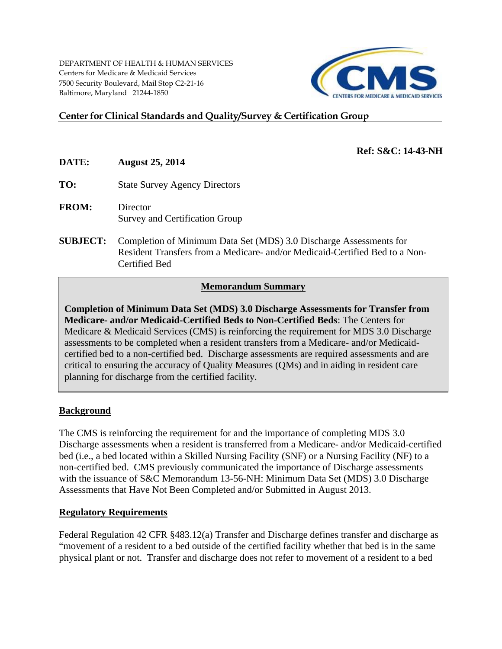DEPARTMENT OF HEALTH & HUMAN SERVICES Centers for Medicare & Medicaid Services 7500 Security Boulevard, Mail Stop C2‐21‐16 Baltimore, Maryland 21244-1850



# **Center for Clinical Standards and Quality/Survey & Certification Group**

- **DATE: August 25, 2014**
- **TO:** State Survey Agency Directors
- **FROM:** Director Survey and Certification Group
- **SUBJECT:** Completion of Minimum Data Set (MDS) 3.0 Discharge Assessments for Resident Transfers from a Medicare- and/or Medicaid-Certified Bed to a Non-Certified Bed

### **Memorandum Summary**

**Completion of Minimum Data Set (MDS) 3.0 Discharge Assessments for Transfer from Medicare- and/or Medicaid-Certified Beds to Non-Certified Beds**: The Centers for Medicare & Medicaid Services (CMS) is reinforcing the requirement for MDS 3.0 Discharge assessments to be completed when a resident transfers from a Medicare- and/or Medicaidcertified bed to a non-certified bed. Discharge assessments are required assessments and are critical to ensuring the accuracy of Quality Measures (QMs) and in aiding in resident care planning for discharge from the certified facility.

### **Background**

The CMS is reinforcing the requirement for and the importance of completing MDS 3.0 Discharge assessments when a resident is transferred from a Medicare- and/or Medicaid-certified bed (i.e., a bed located within a Skilled Nursing Facility (SNF) or a Nursing Facility (NF) to a non-certified bed. CMS previously communicated the importance of Discharge assessments with the issuance of S&C Memorandum 13-56-NH: Minimum Data Set (MDS) 3.0 Discharge Assessments that Have Not Been Completed and/or Submitted in August 2013.

### **Regulatory Requirements**

Federal Regulation 42 CFR §483.12(a) Transfer and Discharge defines transfer and discharge as "movement of a resident to a bed outside of the certified facility whether that bed is in the same physical plant or not. Transfer and discharge does not refer to movement of a resident to a bed

# **Ref: S&C: 14-43-NH**